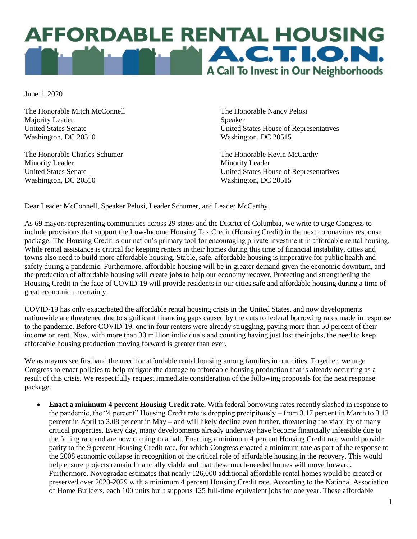

June 1, 2020

The Honorable Mitch McConnell Majority Leader United States Senate Washington, DC 20510

The Honorable Charles Schumer Minority Leader United States Senate Washington, DC 20510

The Honorable Nancy Pelosi Speaker United States House of Representatives Washington, DC 20515

The Honorable Kevin McCarthy Minority Leader United States House of Representatives Washington, DC 20515

Dear Leader McConnell, Speaker Pelosi, Leader Schumer, and Leader McCarthy,

As 69 mayors representing communities across 29 states and the District of Columbia, we write to urge Congress to include provisions that support the Low-Income Housing Tax Credit (Housing Credit) in the next coronavirus response package. The Housing Credit is our nation's primary tool for encouraging private investment in affordable rental housing. While rental assistance is critical for keeping renters in their homes during this time of financial instability, cities and towns also need to build more affordable housing. Stable, safe, affordable housing is imperative for public health and safety during a pandemic. Furthermore, affordable housing will be in greater demand given the economic downturn, and the production of affordable housing will create jobs to help our economy recover. Protecting and strengthening the Housing Credit in the face of COVID-19 will provide residents in our cities safe and affordable housing during a time of great economic uncertainty.

COVID-19 has only exacerbated the affordable rental housing crisis in the United States, and now developments nationwide are threatened due to significant financing gaps caused by the cuts to federal borrowing rates made in response to the pandemic. Before COVID-19, one in four renters were already struggling, paying more than 50 percent of their income on rent. Now, with more than 30 million individuals and counting having just lost their jobs, the need to keep affordable housing production moving forward is greater than ever.

We as mayors see firsthand the need for affordable rental housing among families in our cities. Together, we urge Congress to enact policies to help mitigate the damage to affordable housing production that is already occurring as a result of this crisis. We respectfully request immediate consideration of the following proposals for the next response package:

• **Enact a minimum 4 percent Housing Credit rate.** With federal borrowing rates recently slashed in response to the pandemic, the "4 percent" Housing Credit rate is dropping precipitously – from 3.17 percent in March to 3.12 percent in April to 3.08 percent in May – and will likely decline even further, threatening the viability of many critical properties. Every day, many developments already underway have become financially infeasible due to the falling rate and are now coming to a halt. Enacting a minimum 4 percent Housing Credit rate would provide parity to the 9 percent Housing Credit rate, for which Congress enacted a minimum rate as part of the response to the 2008 economic collapse in recognition of the critical role of affordable housing in the recovery. This would help ensure projects remain financially viable and that these much-needed homes will move forward. Furthermore, Novogradac estimates that nearly 126,000 additional affordable rental homes would be created or preserved over 2020-2029 with a minimum 4 percent Housing Credit rate. According to the National Association of Home Builders, each 100 units built supports 125 full-time equivalent jobs for one year. These affordable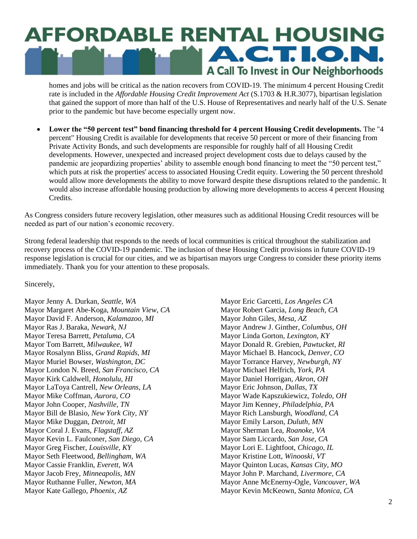## **AFFORDABLE RENTAL HOUSING NA.C.T. I.O.N.** A Call To Invest in Our Neighborhoods

homes and jobs will be critical as the nation recovers from COVID-19. The minimum 4 percent Housing Credit rate is included in the *Affordable Housing Credit Improvement Act* (S.1703 & H.R.3077), bipartisan legislation that gained the support of more than half of the U.S. House of Representatives and nearly half of the U.S. Senate prior to the pandemic but have become especially urgent now.

• **Lower the "50 percent test" bond financing threshold for 4 percent Housing Credit developments.** The "4 percent" Housing Credit is available for developments that receive 50 percent or more of their financing from Private Activity Bonds, and such developments are responsible for roughly half of all Housing Credit developments. However, unexpected and increased project development costs due to delays caused by the pandemic are jeopardizing properties' ability to assemble enough bond financing to meet the "50 percent test," which puts at risk the properties' access to associated Housing Credit equity. Lowering the 50 percent threshold would allow more developments the ability to move forward despite these disruptions related to the pandemic. It would also increase affordable housing production by allowing more developments to access 4 percent Housing Credits.

As Congress considers future recovery legislation, other measures such as additional Housing Credit resources will be needed as part of our nation's economic recovery.

Strong federal leadership that responds to the needs of local communities is critical throughout the stabilization and recovery process of the COVID-19 pandemic. The inclusion of these Housing Credit provisions in future COVID-19 response legislation is crucial for our cities, and we as bipartisan mayors urge Congress to consider these priority items immediately. Thank you for your attention to these proposals.

Sincerely,

Mayor Jenny A. Durkan, *Seattle, WA* Mayor Margaret Abe-Koga, *Mountain View, CA* Mayor David F. Anderson, *Kalamazoo, MI* Mayor Ras J. Baraka, *Newark, NJ* Mayor Teresa Barrett, *Petaluma, CA* Mayor Tom Barrett, *Milwaukee, WI* Mayor Rosalynn Bliss, *Grand Rapids, MI* Mayor Muriel Bowser, *Washington, DC* Mayor London N. Breed, *San Francisco, CA* Mayor Kirk Caldwell, *Honolulu, HI* Mayor LaToya Cantrell, *New Orleans, LA* Mayor Mike Coffman, *Aurora, CO* Mayor John Cooper, *Nashville, TN* Mayor Bill de Blasio, *New York City, NY* Mayor Mike Duggan, *Detroit, MI* Mayor Coral J. Evans, *Flagstaff, AZ* Mayor Kevin L. Faulconer, *San Diego, CA* Mayor Greg Fischer, *Louisville, KY* Mayor Seth Fleetwood, *Bellingham, WA* Mayor Cassie Franklin, *Everett, WA* Mayor Jacob Frey, *Minneapolis, MN* Mayor Ruthanne Fuller, *Newton, MA* Mayor Kate Gallego, *Phoenix, AZ*

Mayor Eric Garcetti, *Los Angeles CA* Mayor Robert Garcia, *Long Beach, CA* Mayor John Giles, *Mesa, AZ* Mayor Andrew J. Ginther, *Columbus, OH* Mayor Linda Gorton, *Lexington, KY* Mayor Donald R. Grebien, *Pawtucket, RI* Mayor Michael B. Hancock, *Denver, CO* Mayor Torrance Harvey, *Newburgh, NY* Mayor Michael Helfrich, *York, PA* Mayor Daniel Horrigan, *Akron, OH* Mayor Eric Johnson, *Dallas, TX* Mayor Wade Kapszukiewicz, *Toledo, OH* Mayor Jim Kenney, *Philadelphia, PA* Mayor Rich Lansburgh, *Woodland, CA* Mayor Emily Larson, *Duluth, MN* Mayor Sherman Lea, *Roanoke, VA* Mayor Sam Liccardo, *San Jose, CA* Mayor Lori E. Lightfoot, *Chicago, IL* Mayor Kristine Lott, *Winooski, VT* Mayor Quinton Lucas, *Kansas City, MO* Mayor John P. Marchand, *Livermore, CA* Mayor Anne McEnerny-Ogle, *Vancouver, WA* Mayor Kevin McKeown, *Santa Monica, CA*